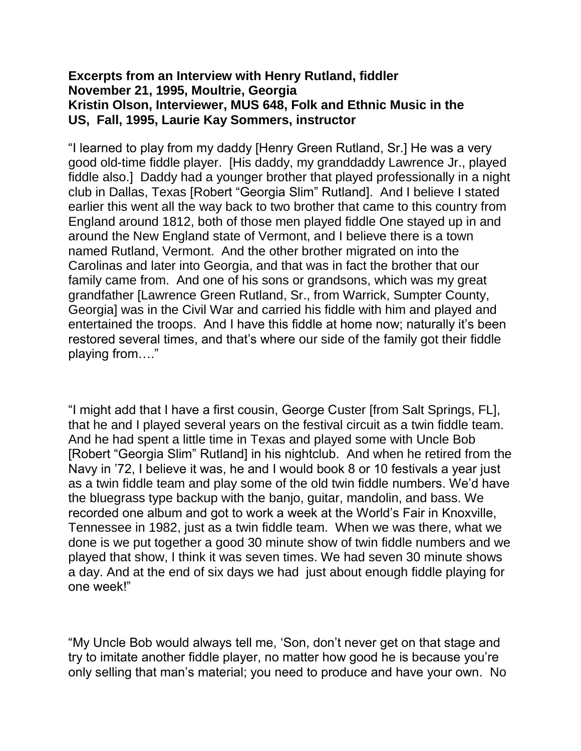## **Excerpts from an Interview with Henry Rutland, fiddler November 21, 1995, Moultrie, Georgia Kristin Olson, Interviewer, MUS 648, Folk and Ethnic Music in the US, Fall, 1995, Laurie Kay Sommers, instructor**

"I learned to play from my daddy [Henry Green Rutland, Sr.] He was a very good old-time fiddle player. [His daddy, my granddaddy Lawrence Jr., played fiddle also.] Daddy had a younger brother that played professionally in a night club in Dallas, Texas [Robert "Georgia Slim" Rutland]. And I believe I stated earlier this went all the way back to two brother that came to this country from England around 1812, both of those men played fiddle One stayed up in and around the New England state of Vermont, and I believe there is a town named Rutland, Vermont. And the other brother migrated on into the Carolinas and later into Georgia, and that was in fact the brother that our family came from. And one of his sons or grandsons, which was my great grandfather [Lawrence Green Rutland, Sr., from Warrick, Sumpter County, Georgia] was in the Civil War and carried his fiddle with him and played and entertained the troops. And I have this fiddle at home now; naturally it's been restored several times, and that's where our side of the family got their fiddle playing from…."

"I might add that I have a first cousin, George Custer [from Salt Springs, FL], that he and I played several years on the festival circuit as a twin fiddle team. And he had spent a little time in Texas and played some with Uncle Bob [Robert "Georgia Slim" Rutland] in his nightclub. And when he retired from the Navy in '72, I believe it was, he and I would book 8 or 10 festivals a year just as a twin fiddle team and play some of the old twin fiddle numbers. We'd have the bluegrass type backup with the banjo, guitar, mandolin, and bass. We recorded one album and got to work a week at the World's Fair in Knoxville, Tennessee in 1982, just as a twin fiddle team. When we was there, what we done is we put together a good 30 minute show of twin fiddle numbers and we played that show, I think it was seven times. We had seven 30 minute shows a day. And at the end of six days we had just about enough fiddle playing for one week!"

"My Uncle Bob would always tell me, 'Son, don't never get on that stage and try to imitate another fiddle player, no matter how good he is because you're only selling that man's material; you need to produce and have your own. No